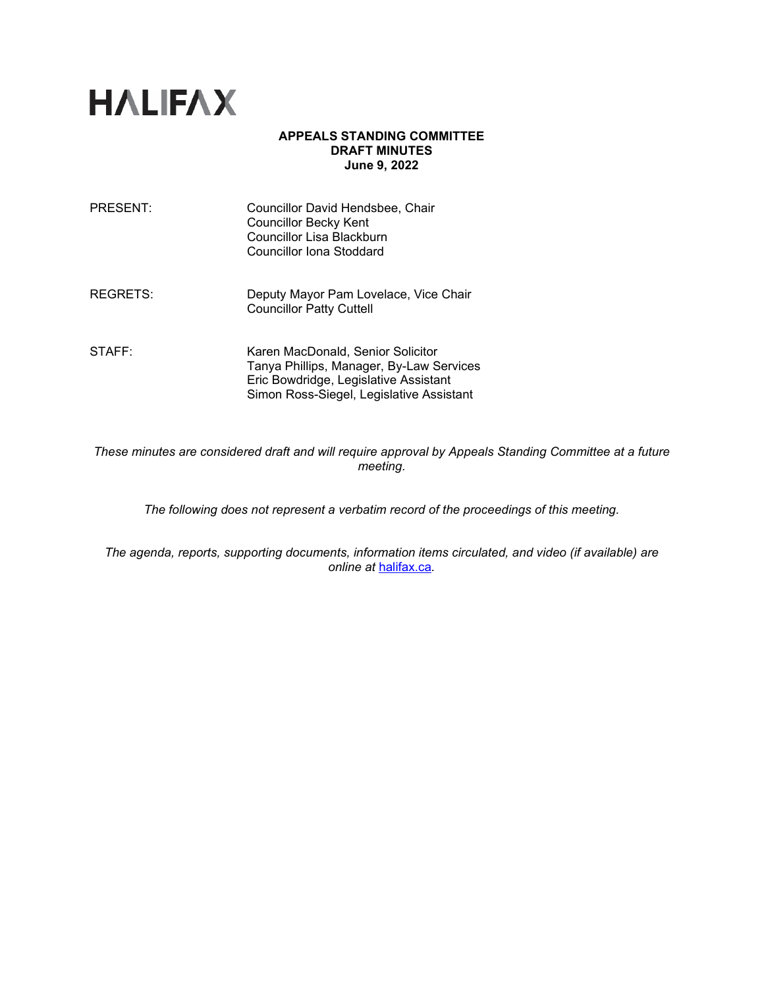

# **APPEALS STANDING COMMITTEE DRAFT MINUTES June 9, 2022**

| PRESENT: | Councillor David Hendsbee, Chair<br><b>Councillor Becky Kent</b><br>Councillor Lisa Blackburn<br>Councillor Iona Stoddard                                          |
|----------|--------------------------------------------------------------------------------------------------------------------------------------------------------------------|
| REGRETS: | Deputy Mayor Pam Lovelace, Vice Chair<br><b>Councillor Patty Cuttell</b>                                                                                           |
| STAFF:   | Karen MacDonald, Senior Solicitor<br>Tanya Phillips, Manager, By-Law Services<br>Eric Bowdridge, Legislative Assistant<br>Simon Ross-Siegel, Legislative Assistant |

*These minutes are considered draft and will require approval by Appeals Standing Committee at a future meeting.* 

*The following does not represent a verbatim record of the proceedings of this meeting.*

*The agenda, reports, supporting documents, information items circulated, and video (if available) are online at* [halifax.ca](http://www.halifax.ca/)*.*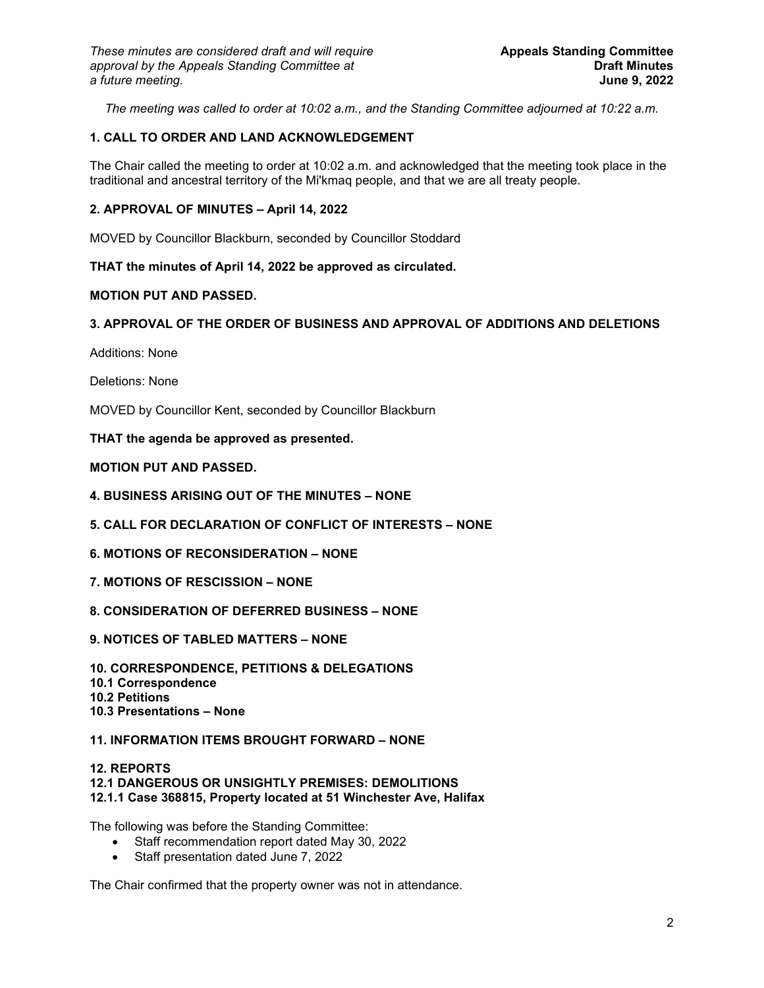*The meeting was called to order at 10:02 a.m., and the Standing Committee adjourned at 10:22 a.m.*

# **1. CALL TO ORDER AND LAND ACKNOWLEDGEMENT**

The Chair called the meeting to order at 10:02 a.m. and acknowledged that the meeting took place in the traditional and ancestral territory of the Mi'kmaq people, and that we are all treaty people.

# **2. APPROVAL OF MINUTES – April 14, 2022**

MOVED by Councillor Blackburn, seconded by Councillor Stoddard

### **THAT the minutes of April 14, 2022 be approved as circulated.**

# **MOTION PUT AND PASSED.**

### **3. APPROVAL OF THE ORDER OF BUSINESS AND APPROVAL OF ADDITIONS AND DELETIONS**

Additions: None

Deletions: None

MOVED by Councillor Kent, seconded by Councillor Blackburn

**THAT the agenda be approved as presented.** 

## **MOTION PUT AND PASSED.**

- **4. BUSINESS ARISING OUT OF THE MINUTES – NONE**
- **5. CALL FOR DECLARATION OF CONFLICT OF INTERESTS – NONE**
- **6. MOTIONS OF RECONSIDERATION – NONE**
- **7. MOTIONS OF RESCISSION – NONE**
- **8. CONSIDERATION OF DEFERRED BUSINESS – NONE**
- **9. NOTICES OF TABLED MATTERS – NONE**

**10. CORRESPONDENCE, PETITIONS & DELEGATIONS 10.1 Correspondence 10.2 Petitions 10.3 Presentations – None** 

#### **11. INFORMATION ITEMS BROUGHT FORWARD – NONE**

#### **12. REPORTS 12.1 DANGEROUS OR UNSIGHTLY PREMISES: DEMOLITIONS 12.1.1 Case 368815, Property located at 51 Winchester Ave, Halifax**

The following was before the Standing Committee:

- Staff recommendation report dated May 30, 2022
- Staff presentation dated June 7, 2022

The Chair confirmed that the property owner was not in attendance.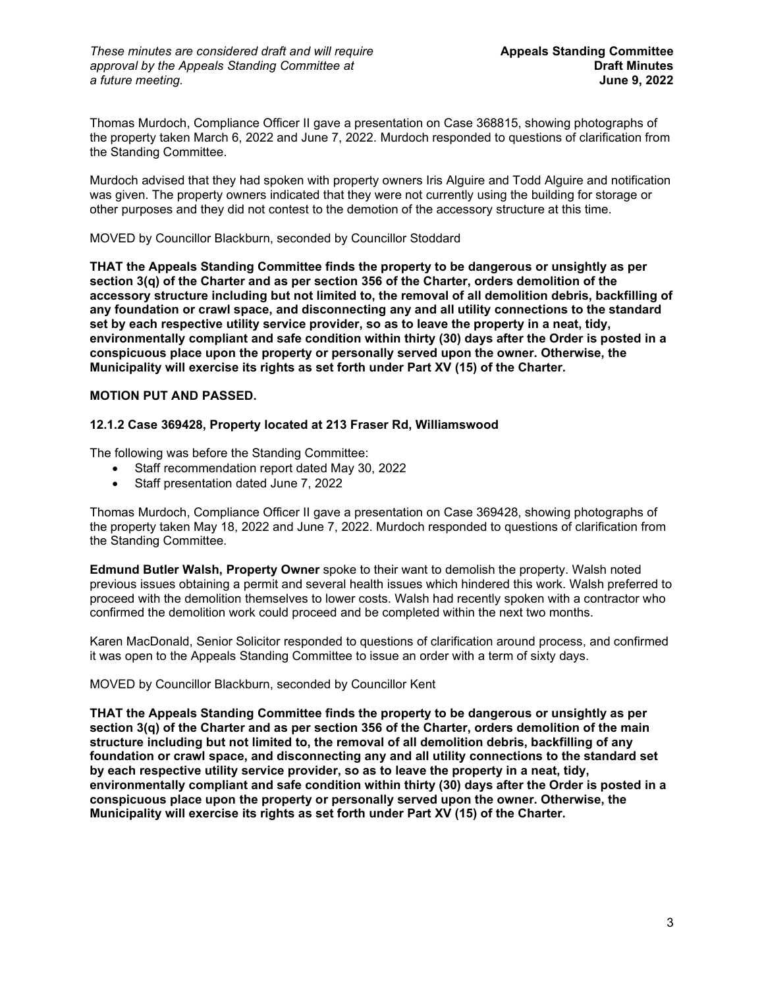Thomas Murdoch, Compliance Officer II gave a presentation on Case 368815, showing photographs of the property taken March 6, 2022 and June 7, 2022. Murdoch responded to questions of clarification from the Standing Committee.

Murdoch advised that they had spoken with property owners Iris Alguire and Todd Alguire and notification was given. The property owners indicated that they were not currently using the building for storage or other purposes and they did not contest to the demotion of the accessory structure at this time.

# MOVED by Councillor Blackburn, seconded by Councillor Stoddard

**THAT the Appeals Standing Committee finds the property to be dangerous or unsightly as per section 3(q) of the Charter and as per section 356 of the Charter, orders demolition of the accessory structure including but not limited to, the removal of all demolition debris, backfilling of any foundation or crawl space, and disconnecting any and all utility connections to the standard set by each respective utility service provider, so as to leave the property in a neat, tidy, environmentally compliant and safe condition within thirty (30) days after the Order is posted in a conspicuous place upon the property or personally served upon the owner. Otherwise, the Municipality will exercise its rights as set forth under Part XV (15) of the Charter.**

# **MOTION PUT AND PASSED.**

# **12.1.2 Case 369428, Property located at 213 Fraser Rd, Williamswood**

The following was before the Standing Committee:

- Staff recommendation report dated May 30, 2022
- Staff presentation dated June 7, 2022

Thomas Murdoch, Compliance Officer II gave a presentation on Case 369428, showing photographs of the property taken May 18, 2022 and June 7, 2022. Murdoch responded to questions of clarification from the Standing Committee.

**Edmund Butler Walsh, Property Owner** spoke to their want to demolish the property. Walsh noted previous issues obtaining a permit and several health issues which hindered this work. Walsh preferred to proceed with the demolition themselves to lower costs. Walsh had recently spoken with a contractor who confirmed the demolition work could proceed and be completed within the next two months.

Karen MacDonald, Senior Solicitor responded to questions of clarification around process, and confirmed it was open to the Appeals Standing Committee to issue an order with a term of sixty days.

MOVED by Councillor Blackburn, seconded by Councillor Kent

**THAT the Appeals Standing Committee finds the property to be dangerous or unsightly as per section 3(q) of the Charter and as per section 356 of the Charter, orders demolition of the main structure including but not limited to, the removal of all demolition debris, backfilling of any foundation or crawl space, and disconnecting any and all utility connections to the standard set by each respective utility service provider, so as to leave the property in a neat, tidy, environmentally compliant and safe condition within thirty (30) days after the Order is posted in a conspicuous place upon the property or personally served upon the owner. Otherwise, the Municipality will exercise its rights as set forth under Part XV (15) of the Charter.**